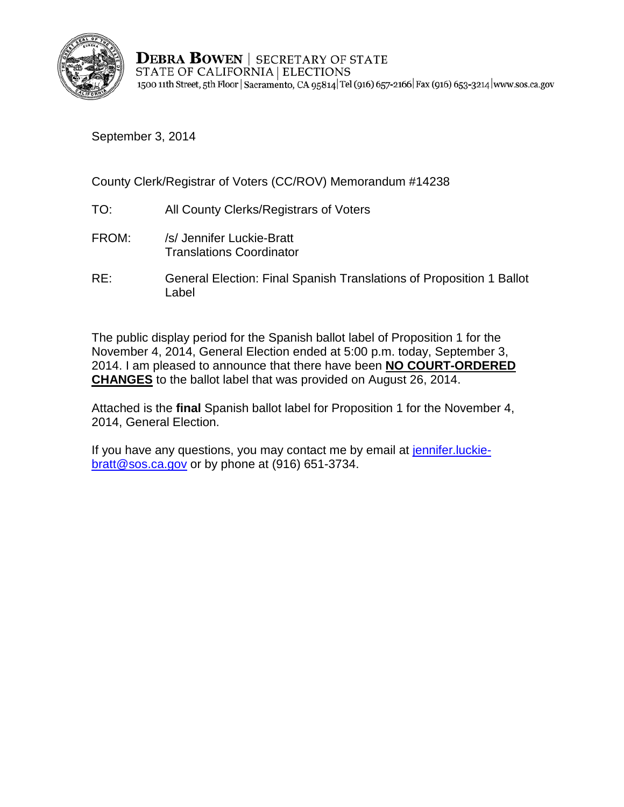

**DEBRA BOWEN | SECRETARY OF STATE** STATE OF CALIFORNIA | ELECTIONS 1500 11th Street, 5th Floor | Sacramento, CA 95814 Tel (916) 657-2166 | Fax (916) 653-3214 | www.sos.ca.gov

September 3, 2014

County Clerk/Registrar of Voters (CC/ROV) Memorandum #14238

- TO: All County Clerks/Registrars of Voters
- FROM: /s/ Jennifer Luckie-Bratt Translations Coordinator
- RE: General Election: Final Spanish Translations of Proposition 1 Ballot Label

The public display period for the Spanish ballot label of Proposition 1 for the November 4, 2014, General Election ended at 5:00 p.m. today, September 3, 2014. I am pleased to announce that there have been **NO COURT-ORDERED CHANGES** to the ballot label that was provided on August 26, 2014.

Attached is the **final** Spanish ballot label for Proposition 1 for the November 4, 2014, General Election.

If you have any questions, you may contact me by email at jennifer. luckie[bratt@sos.ca.gov](mailto:jennifer.luckie-bratt@sos.ca.gov) or by phone at (916) 651-3734.